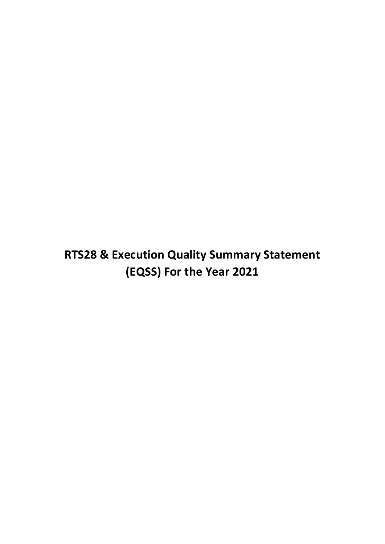**RTS28 & Execution Quality Summary Statement (EQSS) For the Year 2021**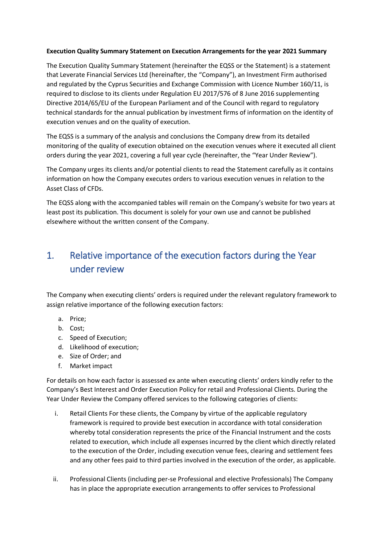#### **Execution Quality Summary Statement on Execution Arrangements for the year 2021 Summary**

The Execution Quality Summary Statement (hereinafter the EQSS or the Statement) is a statement that Leverate Financial Services Ltd (hereinafter, the "Company"), an Investment Firm authorised and regulated by the Cyprus Securities and Exchange Commission with Licence Number 160/11, is required to disclose to its clients under Regulation EU 2017/576 of 8 June 2016 supplementing Directive 2014/65/EU of the European Parliament and of the Council with regard to regulatory technical standards for the annual publication by investment firms of information on the identity of execution venues and on the quality of execution.

The EQSS is a summary of the analysis and conclusions the Company drew from its detailed monitoring of the quality of execution obtained on the execution venues where it executed all client orders during the year 2021, covering a full year cycle (hereinafter, the "Year Under Review").

The Company urges its clients and/or potential clients to read the Statement carefully as it contains information on how the Company executes orders to various execution venues in relation to the Asset Class of CFDs.

The EQSS along with the accompanied tables will remain on the Company's website for two years at least post its publication. This document is solely for your own use and cannot be published elsewhere without the written consent of the Company.

## 1. Relative importance of the execution factors during the Year under review

The Company when executing clients' orders is required under the relevant regulatory framework to assign relative importance of the following execution factors:

- a. Price;
- b. Cost;
- c. Speed of Execution;
- d. Likelihood of execution;
- e. Size of Order; and
- f. Market impact

For details on how each factor is assessed ex ante when executing clients' orders kindly refer to the Company's Best Interest and Order Execution Policy for retail and Professional Clients. During the Year Under Review the Company offered services to the following categories of clients:

- i. Retail Clients For these clients, the Company by virtue of the applicable regulatory framework is required to provide best execution in accordance with total consideration whereby total consideration represents the price of the Financial Instrument and the costs related to execution, which include all expenses incurred by the client which directly related to the execution of the Order, including execution venue fees, clearing and settlement fees and any other fees paid to third parties involved in the execution of the order, as applicable.
- ii. Professional Clients (including per-se Professional and elective Professionals) The Company has in place the appropriate execution arrangements to offer services to Professional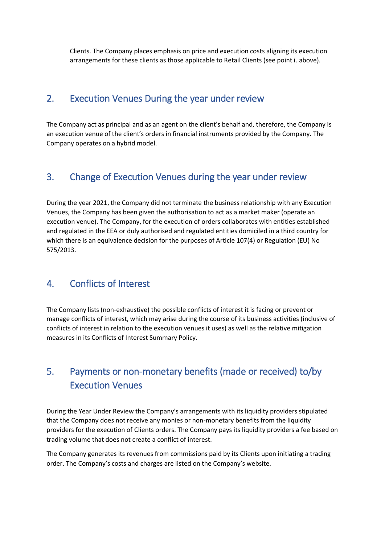Clients. The Company places emphasis on price and execution costs aligning its execution arrangements for these clients as those applicable to Retail Clients (see point i. above).

#### 2. Execution Venues During the year under review

The Company act as principal and as an agent on the client's behalf and, therefore, the Company is an execution venue of the client's orders in financial instruments provided by the Company. The Company operates on a hybrid model.

#### 3. Change of Execution Venues during the year under review

During the year 2021, the Company did not terminate the business relationship with any Execution Venues, the Company has been given the authorisation to act as a market maker (operate an execution venue). The Company, for the execution of orders collaborates with entities established and regulated in the EEA or duly authorised and regulated entities domiciled in a third country for which there is an equivalence decision for the purposes of Article 107(4) or Regulation (EU) No 575/2013.

## 4. Conflicts of Interest

The Company lists (non-exhaustive) the possible conflicts of interest it is facing or prevent or manage conflicts of interest, which may arise during the course of its business activities (inclusive of conflicts of interest in relation to the execution venues it uses) as well as the relative mitigation measures in its Conflicts of Interest Summary Policy.

# 5. Payments or non-monetary benefits (made or received) to/by Execution Venues

During the Year Under Review the Company's arrangements with its liquidity providers stipulated that the Company does not receive any monies or non-monetary benefits from the liquidity providers for the execution of Clients orders. The Company pays its liquidity providers a fee based on trading volume that does not create a conflict of interest.

The Company generates its revenues from commissions paid by its Clients upon initiating a trading order. The Company's costs and charges are listed on the Company's website.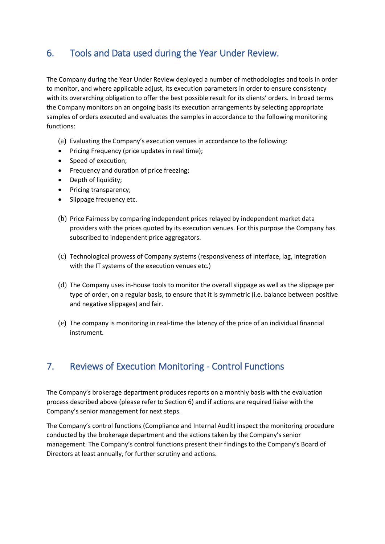## 6. Tools and Data used during the Year Under Review.

The Company during the Year Under Review deployed a number of methodologies and tools in order to monitor, and where applicable adjust, its execution parameters in order to ensure consistency with its overarching obligation to offer the best possible result for its clients' orders. In broad terms the Company monitors on an ongoing basis its execution arrangements by selecting appropriate samples of orders executed and evaluates the samples in accordance to the following monitoring functions:

- (a) Evaluating the Company's execution venues in accordance to the following:
- Pricing Frequency (price updates in real time);
- Speed of execution;
- Frequency and duration of price freezing;
- Depth of liquidity;
- Pricing transparency;
- Slippage frequency etc.
- (b) Price Fairness by comparing independent prices relayed by independent market data providers with the prices quoted by its execution venues. For this purpose the Company has subscribed to independent price aggregators.
- (c) Technological prowess of Company systems (responsiveness of interface, lag, integration with the IT systems of the execution venues etc.)
- (d) The Company uses in-house tools to monitor the overall slippage as well as the slippage per type of order, on a regular basis, to ensure that it is symmetric (i.e. balance between positive and negative slippages) and fair.
- (e) The company is monitoring in real-time the latency of the price of an individual financial instrument.

#### 7. Reviews of Execution Monitoring - Control Functions

The Company's brokerage department produces reports on a monthly basis with the evaluation process described above (please refer to Section 6) and if actions are required liaise with the Company's senior management for next steps.

The Company's control functions (Compliance and Internal Audit) inspect the monitoring procedure conducted by the brokerage department and the actions taken by the Company's senior management. The Company's control functions present their findings to the Company's Board of Directors at least annually, for further scrutiny and actions.